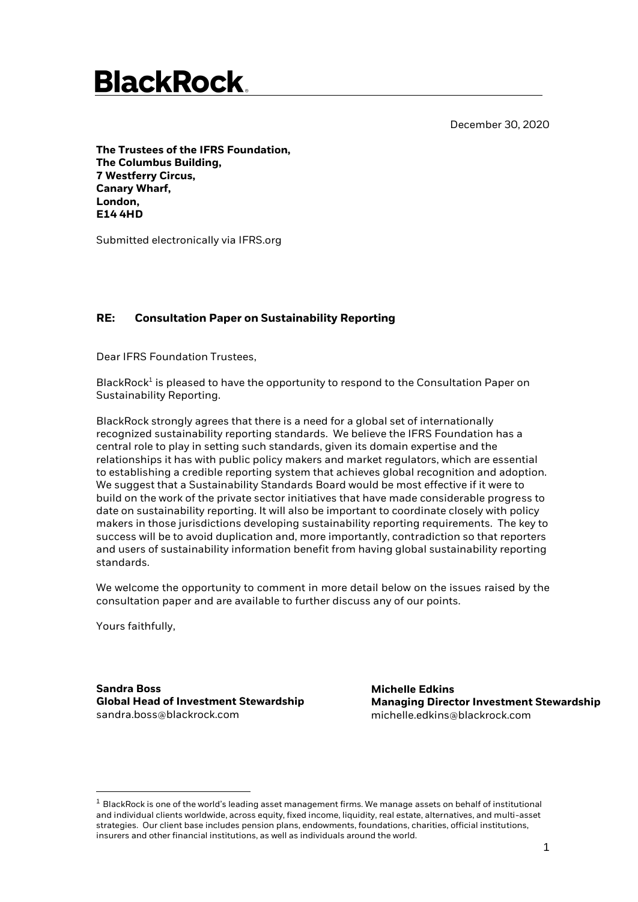December 30, 2020

### **BlackRock**

**The Trustees of the IFRS Foundation, The Columbus Building, 7 Westferry Circus, Canary Wharf, London, E14 4HD** 

Submitted electronically via IFRS.org

### **RE: Consultation Paper on Sustainability Reporting**

Dear IFRS Foundation Trustees,

BlackRock<sup>1</sup> is pleased to have the opportunity to respond to the Consultation Paper on Sustainability Reporting.

BlackRock strongly agrees that there is a need for a global set of internationally recognized sustainability reporting standards. We believe the IFRS Foundation has a central role to play in setting such standards, given its domain expertise and the relationships it has with public policy makers and market regulators, which are essential to establishing a credible reporting system that achieves global recognition and adoption. We suggest that a Sustainability Standards Board would be most effective if it were to build on the work of the private sector initiatives that have made considerable progress to date on sustainability reporting. It will also be important to coordinate closely with policy makers in those jurisdictions developing sustainability reporting requirements. The key to success will be to avoid duplication and, more importantly, contradiction so that reporters and users of sustainability information benefit from having global sustainability reporting standards.

We welcome the opportunity to comment in more detail below on the issues raised by the consultation paper and are available to further discuss any of our points.

Yours faithfully,

San **Sandra Boss Global Head of Investment Stewardship** sandra.boss@blackrock.com

**Michelle Edkins Managing Director Investment Stewardship**  michelle.edkins@blackrock.com

 $1$  BlackRock is one of the world's leading asset management firms. We manage assets on behalf of institutional and individual clients worldwide, across equity, fixed income, liquidity, real estate, alternatives, and multi-asset strategies. Our client base includes pension plans, endowments, foundations, charities, official institutions, insurers and other financial institutions, as well as individuals around the world.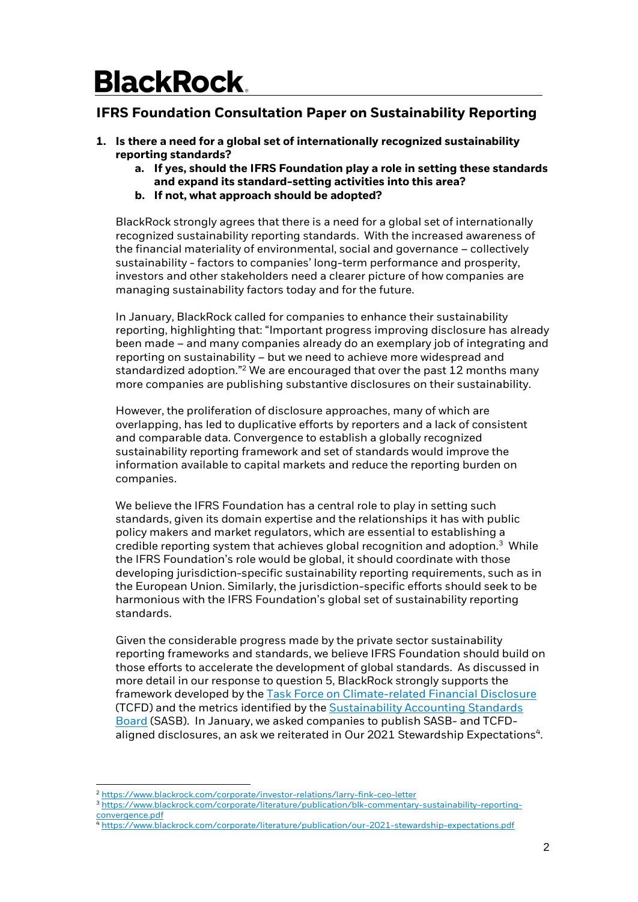### **IFRS Foundation Consultation Paper on Sustainability Reporting**

- **1. Is there a need for a global set of internationally recognized sustainability reporting standards?** 
	- **a. If yes, should the IFRS Foundation play a role in setting these standards and expand its standard-setting activities into this area?**
	- **b. If not, what approach should be adopted?**

BlackRock strongly agrees that there is a need for a global set of internationally recognized sustainability reporting standards. With the increased awareness of the financial materiality of environmental, social and governance – collectively sustainability - factors to companies' long-term performance and prosperity, investors and other stakeholders need a clearer picture of how companies are managing sustainability factors today and for the future.

In January, BlackRock called for companies to enhance their sustainability reporting, highlighting that: "Important progress improving disclosure has already been made – and many companies already do an exemplary job of integrating and reporting on sustainability – but we need to achieve more widespread and standardized adoption."<sup>2</sup> We are encouraged that over the past 12 months many more companies are publishing substantive disclosures on their sustainability.

However, the proliferation of disclosure approaches, many of which are overlapping, has led to duplicative efforts by reporters and a lack of consistent and comparable data. Convergence to establish a globally recognized sustainability reporting framework and set of standards would improve the information available to capital markets and reduce the reporting burden on companies.

We believe the IFRS Foundation has a central role to play in setting such standards, given its domain expertise and the relationships it has with public policy makers and market regulators, which are essential to establishing a credible reporting system that achieves global recognition and adoption.<sup>3</sup> While the IFRS Foundation's role would be global, it should coordinate with those developing jurisdiction-specific sustainability reporting requirements, such as in the European Union. Similarly, the jurisdiction-specific efforts should seek to be harmonious with the IFRS Foundation's global set of sustainability reporting standards.

Given the considerable progress made by the private sector sustainability reporting frameworks and standards, we believe IFRS Foundation should build on those efforts to accelerate the development of global standards. As discussed in more detail in our response to question 5, BlackRock strongly supports the framework developed by the [Task Force on Climate-related Financial Disclosure](https://www.fsb-tcfd.org/about/) (TCFD) and the metrics identified by th[e Sustainability Accounting Standards](https://www.sasb.org/)  [Board](https://www.sasb.org/) (SASB). In January, we asked companies to publish SASB- and TCFDaligned disclosures, an ask we reiterated in Our 2021 Stewardship Expectations<sup>4</sup>.

<sup>2</sup> <https://www.blackrock.com/corporate/investor-relations/larry-fink-ceo-letter>

<sup>3</sup> [https://www.blackrock.com/corporate/literature/publication/blk-commentary-sustainability-reporting](https://www.blackrock.com/corporate/literature/publication/blk-commentary-sustainability-reporting-convergence.pdf)[convergence.pdf](https://www.blackrock.com/corporate/literature/publication/blk-commentary-sustainability-reporting-convergence.pdf)

<sup>4</sup> <https://www.blackrock.com/corporate/literature/publication/our-2021-stewardship-expectations.pdf>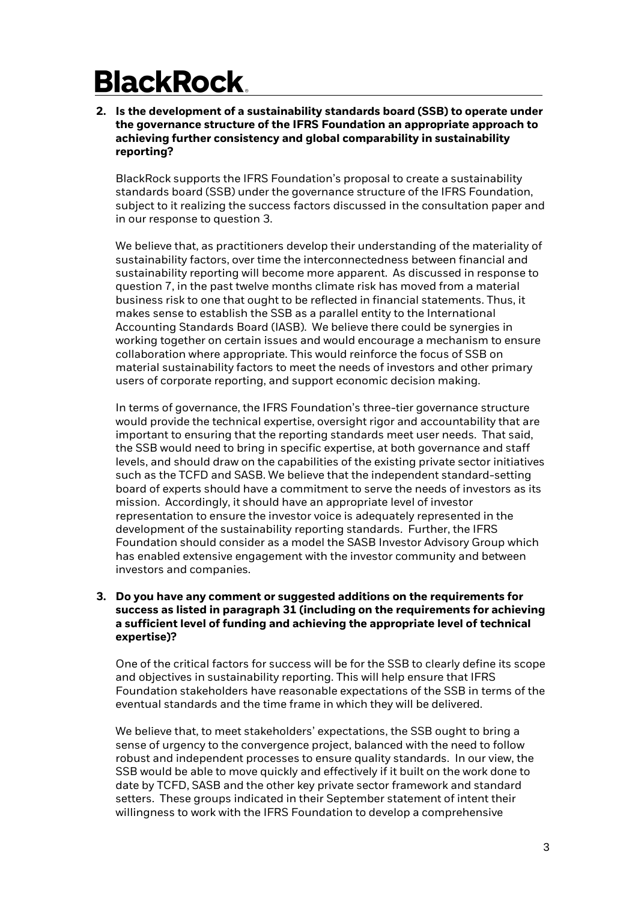**2. Is the development of a sustainability standards board (SSB) to operate under the governance structure of the IFRS Foundation an appropriate approach to achieving further consistency and global comparability in sustainability reporting?**

BlackRock supports the IFRS Foundation's proposal to create a sustainability standards board (SSB) under the governance structure of the IFRS Foundation, subject to it realizing the success factors discussed in the consultation paper and in our response to question 3.

We believe that, as practitioners develop their understanding of the materiality of sustainability factors, over time the interconnectedness between financial and sustainability reporting will become more apparent. As discussed in response to question 7, in the past twelve months climate risk has moved from a material business risk to one that ought to be reflected in financial statements. Thus, it makes sense to establish the SSB as a parallel entity to the International Accounting Standards Board (IASB). We believe there could be synergies in working together on certain issues and would encourage a mechanism to ensure collaboration where appropriate. This would reinforce the focus of SSB on material sustainability factors to meet the needs of investors and other primary users of corporate reporting, and support economic decision making.

In terms of governance, the IFRS Foundation's three-tier governance structure would provide the technical expertise, oversight rigor and accountability that are important to ensuring that the reporting standards meet user needs. That said, the SSB would need to bring in specific expertise, at both governance and staff levels, and should draw on the capabilities of the existing private sector initiatives such as the TCFD and SASB. We believe that the independent standard-setting board of experts should have a commitment to serve the needs of investors as its mission. Accordingly, it should have an appropriate level of investor representation to ensure the investor voice is adequately represented in the development of the sustainability reporting standards. Further, the IFRS Foundation should consider as a model the SASB Investor Advisory Group which has enabled extensive engagement with the investor community and between investors and companies.

### **3. Do you have any comment or suggested additions on the requirements for success as listed in paragraph 31 (including on the requirements for achieving a sufficient level of funding and achieving the appropriate level of technical expertise)?**

One of the critical factors for success will be for the SSB to clearly define its scope and objectives in sustainability reporting. This will help ensure that IFRS Foundation stakeholders have reasonable expectations of the SSB in terms of the eventual standards and the time frame in which they will be delivered.

We believe that, to meet stakeholders' expectations, the SSB ought to bring a sense of urgency to the convergence project, balanced with the need to follow robust and independent processes to ensure quality standards. In our view, the SSB would be able to move quickly and effectively if it built on the work done to date by TCFD, SASB and the other key private sector framework and standard setters. These groups indicated in their September statement of intent their willingness to work with the IFRS Foundation to develop a comprehensive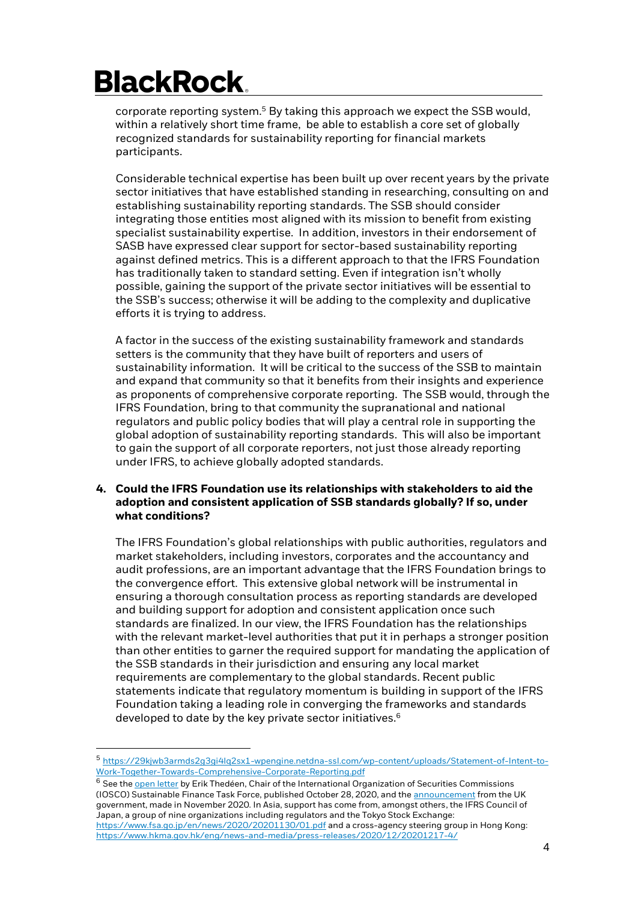corporate reporting system.<sup>5</sup> By taking this approach we expect the SSB would, within a relatively short time frame, be able to establish a core set of globally recognized standards for sustainability reporting for financial markets participants.

Considerable technical expertise has been built up over recent years by the private sector initiatives that have established standing in researching, consulting on and establishing sustainability reporting standards. The SSB should consider integrating those entities most aligned with its mission to benefit from existing specialist sustainability expertise. In addition, investors in their endorsement of SASB have expressed clear support for sector-based sustainability reporting against defined metrics. This is a different approach to that the IFRS Foundation has traditionally taken to standard setting. Even if integration isn't wholly possible, gaining the support of the private sector initiatives will be essential to the SSB's success; otherwise it will be adding to the complexity and duplicative efforts it is trying to address.

A factor in the success of the existing sustainability framework and standards setters is the community that they have built of reporters and users of sustainability information. It will be critical to the success of the SSB to maintain and expand that community so that it benefits from their insights and experience as proponents of comprehensive corporate reporting. The SSB would, through the IFRS Foundation, bring to that community the supranational and national regulators and public policy bodies that will play a central role in supporting the global adoption of sustainability reporting standards. This will also be important to gain the support of all corporate reporters, not just those already reporting under IFRS, to achieve globally adopted standards.

### **4. Could the IFRS Foundation use its relationships with stakeholders to aid the adoption and consistent application of SSB standards globally? If so, under what conditions?**

The IFRS Foundation's global relationships with public authorities, regulators and market stakeholders, including investors, corporates and the accountancy and audit professions, are an important advantage that the IFRS Foundation brings to the convergence effort. This extensive global network will be instrumental in ensuring a thorough consultation process as reporting standards are developed and building support for adoption and consistent application once such standards are finalized. In our view, the IFRS Foundation has the relationships with the relevant market-level authorities that put it in perhaps a stronger position than other entities to garner the required support for mandating the application of the SSB standards in their jurisdiction and ensuring any local market requirements are complementary to the global standards. Recent public statements indicate that regulatory momentum is building in support of the IFRS Foundation taking a leading role in converging the frameworks and standards developed to date by the key private sector initiatives. $6$ 

<sup>6</sup> See the **open letter by Erik Thedéen, Chair of the International Organization of Securities Commissions** (IOSCO) Sustainable Finance Task Force, published October 28, 2020, and th[e announcement](https://www.frc.org.uk/getattachment/6d8c6574-e07f-41a9-b5bb-d3fea57a3ab9/Reporting-FINAL.pdf) from the UK government, made in November 2020. In Asia, support has come from, amongst others, the IFRS Council of Japan, a group of nine organizations including regulators and the Tokyo Stock Exchange: <https://www.fsa.go.jp/en/news/2020/20201130/01.pdf> and a cross-agency steering group in Hong Kong: <https://www.hkma.gov.hk/eng/news-and-media/press-releases/2020/12/20201217-4/>

<sup>5</sup> [https://29kjwb3armds2g3gi4lq2sx1-wpengine.netdna-ssl.com/wp-content/uploads/Statement-of-Intent-to-](https://29kjwb3armds2g3gi4lq2sx1-wpengine.netdna-ssl.com/wp-content/uploads/Statement-of-Intent-to-Work-Together-Towards-Comprehensive-Corporate-Reporting.pdf)[Work-Together-Towards-Comprehensive-Corporate-Reporting.pdf](https://29kjwb3armds2g3gi4lq2sx1-wpengine.netdna-ssl.com/wp-content/uploads/Statement-of-Intent-to-Work-Together-Towards-Comprehensive-Corporate-Reporting.pdf)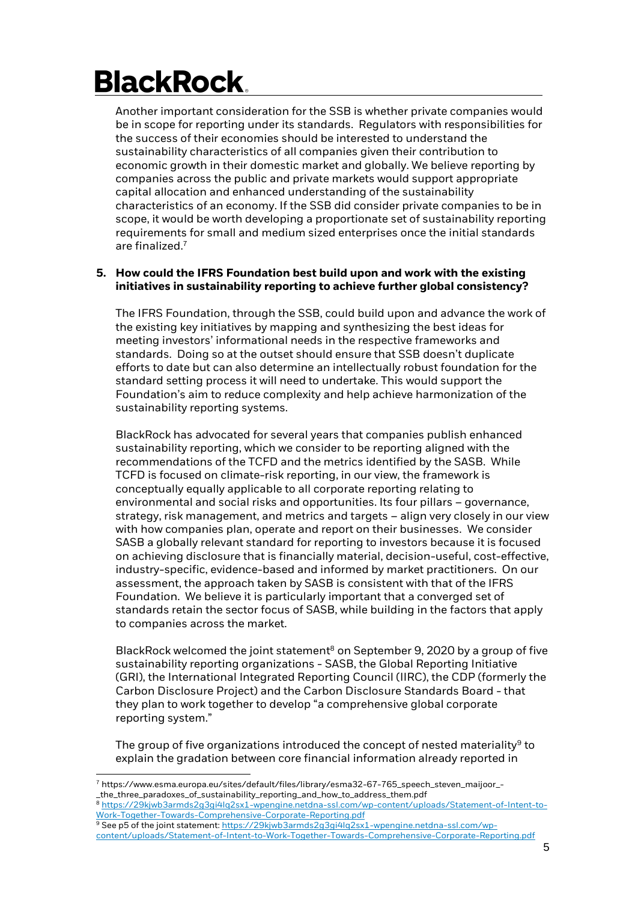Another important consideration for the SSB is whether private companies would be in scope for reporting under its standards. Regulators with responsibilities for the success of their economies should be interested to understand the sustainability characteristics of all companies given their contribution to economic growth in their domestic market and globally. We believe reporting by companies across the public and private markets would support appropriate capital allocation and enhanced understanding of the sustainability characteristics of an economy. If the SSB did consider private companies to be in scope, it would be worth developing a proportionate set of sustainability reporting requirements for small and medium sized enterprises once the initial standards are finalized.<sup>7</sup>

#### **5. How could the IFRS Foundation best build upon and work with the existing initiatives in sustainability reporting to achieve further global consistency?**

The IFRS Foundation, through the SSB, could build upon and advance the work of the existing key initiatives by mapping and synthesizing the best ideas for meeting investors' informational needs in the respective frameworks and standards. Doing so at the outset should ensure that SSB doesn't duplicate efforts to date but can also determine an intellectually robust foundation for the standard setting process it will need to undertake. This would support the Foundation's aim to reduce complexity and help achieve harmonization of the sustainability reporting systems.

BlackRock has advocated for several years that companies publish enhanced sustainability reporting, which we consider to be reporting aligned with the recommendations of the TCFD and the metrics identified by the SASB. While TCFD is focused on climate-risk reporting, in our view, the framework is conceptually equally applicable to all corporate reporting relating to environmental and social risks and opportunities. Its four pillars – governance, strategy, risk management, and metrics and targets – align very closely in our view with how companies plan, operate and report on their businesses. We consider SASB a globally relevant standard for reporting to investors because it is focused on achieving disclosure that is financially material, decision-useful, cost-effective, industry-specific, evidence-based and informed by market practitioners. On our assessment, the approach taken by SASB is consistent with that of the IFRS Foundation. We believe it is particularly important that a converged set of standards retain the sector focus of SASB, while building in the factors that apply to companies across the market.

BlackRock welcomed the joint statement<sup>8</sup> on September 9, 2020 by a group of five sustainability reporting organizations - SASB, the Global Reporting Initiative (GRI), the International Integrated Reporting Council (IIRC), the CDP (formerly the Carbon Disclosure Project) and the Carbon Disclosure Standards Board - that they plan to work together to develop "a comprehensive global corporate reporting system."

The group of five organizations introduced the concept of nested materiality $^9$  to explain the gradation between core financial information already reported in

<sup>7</sup> https://www.esma.europa.eu/sites/default/files/library/esma32-67-765\_speech\_steven\_maijoor\_- \_the\_three\_paradoxes\_of\_sustainability\_reporting\_and\_how\_to\_address\_them.pdf

<sup>8</sup> [https://29kjwb3armds2g3gi4lq2sx1-wpengine.netdna-ssl.com/wp-content/uploads/Statement-of-Intent-to-](https://29kjwb3armds2g3gi4lq2sx1-wpengine.netdna-ssl.com/wp-content/uploads/Statement-of-Intent-to-Work-Together-Towards-Comprehensive-Corporate-Reporting.pdf)[Work-Together-Towards-Comprehensive-Corporate-Reporting.pdf](https://29kjwb3armds2g3gi4lq2sx1-wpengine.netdna-ssl.com/wp-content/uploads/Statement-of-Intent-to-Work-Together-Towards-Comprehensive-Corporate-Reporting.pdf)

<sup>9</sup> See p5 of the joint statement[: https://29kjwb3armds2g3gi4lq2sx1-wpengine.netdna-ssl.com/wp](https://29kjwb3armds2g3gi4lq2sx1-wpengine.netdna-ssl.com/wp-content/uploads/Statement-of-Intent-to-Work-Together-Towards-Comprehensive-Corporate-Reporting.pdf)[content/uploads/Statement-of-Intent-to-Work-Together-Towards-Comprehensive-Corporate-Reporting.pdf](https://29kjwb3armds2g3gi4lq2sx1-wpengine.netdna-ssl.com/wp-content/uploads/Statement-of-Intent-to-Work-Together-Towards-Comprehensive-Corporate-Reporting.pdf)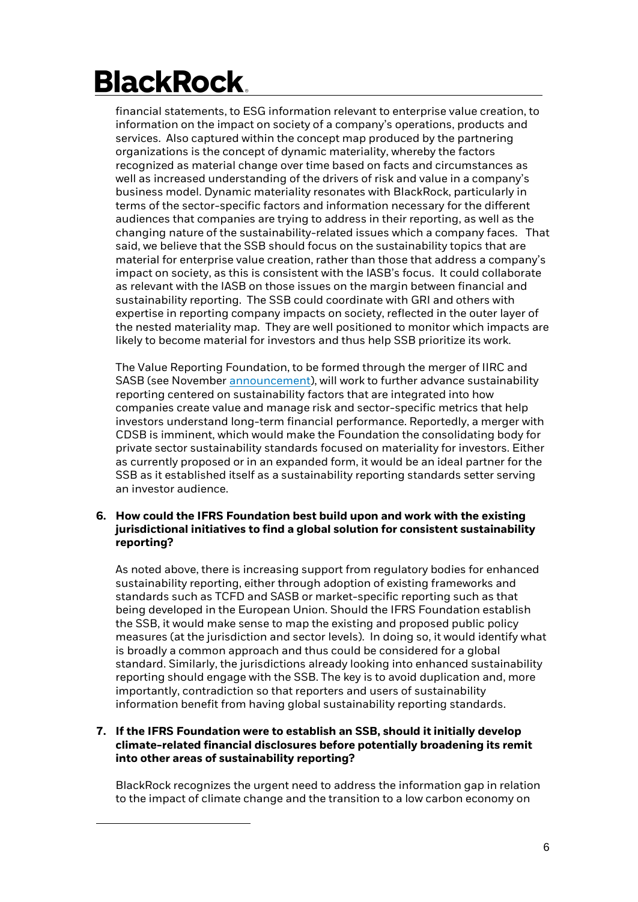financial statements, to ESG information relevant to enterprise value creation, to information on the impact on society of a company's operations, products and services. Also captured within the concept map produced by the partnering organizations is the concept of dynamic materiality, whereby the factors recognized as material change over time based on facts and circumstances as well as increased understanding of the drivers of risk and value in a company's business model. Dynamic materiality resonates with BlackRock, particularly in terms of the sector-specific factors and information necessary for the different audiences that companies are trying to address in their reporting, as well as the changing nature of the sustainability-related issues which a company faces. That said, we believe that the SSB should focus on the sustainability topics that are material for enterprise value creation, rather than those that address a company's impact on society, as this is consistent with the IASB's focus. It could collaborate as relevant with the IASB on those issues on the margin between financial and sustainability reporting. The SSB could coordinate with GRI and others with expertise in reporting company impacts on society, reflected in the outer layer of the nested materiality map. They are well positioned to monitor which impacts are likely to become material for investors and thus help SSB prioritize its work.

The Value Reporting Foundation, to be formed through the merger of IIRC and SASB (see November [announcement\)](https://www.sasb.org/wp-content/uploads/2020/11/IIRC-SASB-Press-Release-Web-Final.pdf), will work to further advance sustainability reporting centered on sustainability factors that are integrated into how companies create value and manage risk and sector-specific metrics that help investors understand long-term financial performance. Reportedly, a merger with CDSB is imminent, which would make the Foundation the consolidating body for private sector sustainability standards focused on materiality for investors. Either as currently proposed or in an expanded form, it would be an ideal partner for the SSB as it established itself as a sustainability reporting standards setter serving an investor audience.

### **6. How could the IFRS Foundation best build upon and work with the existing jurisdictional initiatives to find a global solution for consistent sustainability reporting?**

As noted above, there is increasing support from regulatory bodies for enhanced sustainability reporting, either through adoption of existing frameworks and standards such as TCFD and SASB or market-specific reporting such as that being developed in the European Union. Should the IFRS Foundation establish the SSB, it would make sense to map the existing and proposed public policy measures (at the jurisdiction and sector levels). In doing so, it would identify what is broadly a common approach and thus could be considered for a global standard. Similarly, the jurisdictions already looking into enhanced sustainability reporting should engage with the SSB. The key is to avoid duplication and, more importantly, contradiction so that reporters and users of sustainability information benefit from having global sustainability reporting standards.

### **7. If the IFRS Foundation were to establish an SSB, should it initially develop climate-related financial disclosures before potentially broadening its remit into other areas of sustainability reporting?**

BlackRock recognizes the urgent need to address the information gap in relation to the impact of climate change and the transition to a low carbon economy on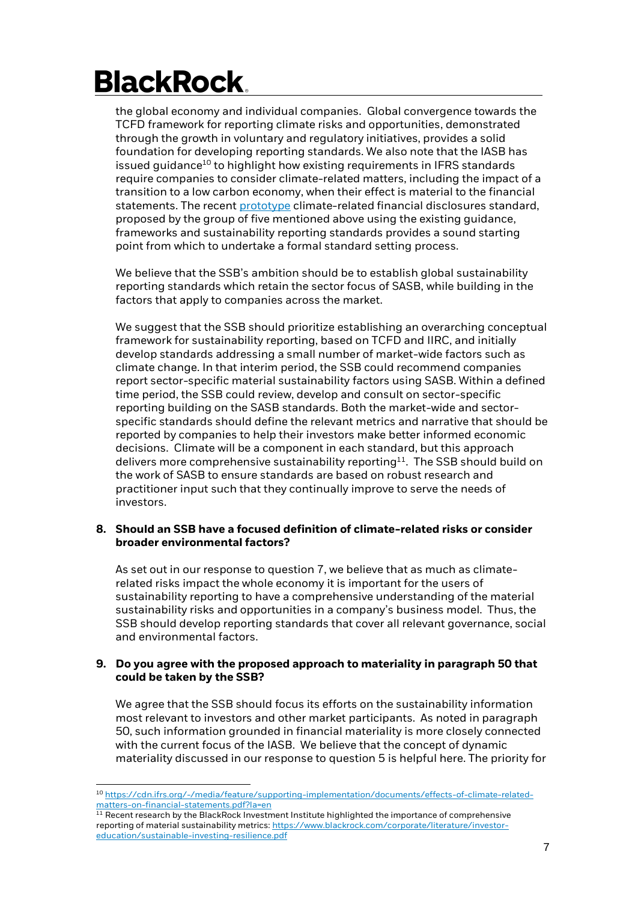the global economy and individual companies. Global convergence towards the TCFD framework for reporting climate risks and opportunities, demonstrated through the growth in voluntary and regulatory initiatives, provides a solid foundation for developing reporting standards. We also note that the IASB has issued guidance<sup>10</sup> to highlight how existing requirements in IFRS standards require companies to consider climate-related matters, including the impact of a transition to a low carbon economy, when their effect is material to the financial statements. The recen[t prototype](https://29kjwb3armds2g3gi4lq2sx1-wpengine.netdna-ssl.com/wp-content/uploads/Reporting-on-enterprise-value_climate-prototype_Dec20.pdf) climate-related financial disclosures standard, proposed by the group of five mentioned above using the existing guidance, frameworks and sustainability reporting standards provides a sound starting point from which to undertake a formal standard setting process.

We believe that the SSB's ambition should be to establish global sustainability reporting standards which retain the sector focus of SASB, while building in the factors that apply to companies across the market.

We suggest that the SSB should prioritize establishing an overarching conceptual framework for sustainability reporting, based on TCFD and IIRC, and initially develop standards addressing a small number of market-wide factors such as climate change. In that interim period, the SSB could recommend companies report sector-specific material sustainability factors using SASB. Within a defined time period, the SSB could review, develop and consult on sector-specific reporting building on the SASB standards. Both the market-wide and sectorspecific standards should define the relevant metrics and narrative that should be reported by companies to help their investors make better informed economic decisions. Climate will be a component in each standard, but this approach delivers more comprehensive sustainability reporting<sup>11</sup>. The SSB should build on the work of SASB to ensure standards are based on robust research and practitioner input such that they continually improve to serve the needs of investors.

#### **8. Should an SSB have a focused definition of climate-related risks or consider broader environmental factors?**

As set out in our response to question 7, we believe that as much as climaterelated risks impact the whole economy it is important for the users of sustainability reporting to have a comprehensive understanding of the material sustainability risks and opportunities in a company's business model. Thus, the SSB should develop reporting standards that cover all relevant governance, social and environmental factors.

#### **9. Do you agree with the proposed approach to materiality in paragraph 50 that could be taken by the SSB?**

We agree that the SSB should focus its efforts on the sustainability information most relevant to investors and other market participants. As noted in paragraph 50, such information grounded in financial materiality is more closely connected with the current focus of the IASB. We believe that the concept of dynamic materiality discussed in our response to question 5 is helpful here. The priority for

<sup>10</sup> [https://cdn.ifrs.org/-/media/feature/supporting-implementation/documents/effects-of-climate-related](https://cdn.ifrs.org/-/media/feature/supporting-implementation/documents/effects-of-climate-related-matters-on-financial-statements.pdf?la=en)[matters-on-financial-statements.pdf?la=en](https://cdn.ifrs.org/-/media/feature/supporting-implementation/documents/effects-of-climate-related-matters-on-financial-statements.pdf?la=en)

 $11$  Recent research by the BlackRock Investment Institute highlighted the importance of comprehensive reporting of material sustainability metrics[: https://www.blackrock.com/corporate/literature/investor](https://www.blackrock.com/corporate/literature/investor-education/sustainable-investing-resilience.pdf)[education/sustainable-investing-resilience.pdf](https://www.blackrock.com/corporate/literature/investor-education/sustainable-investing-resilience.pdf)